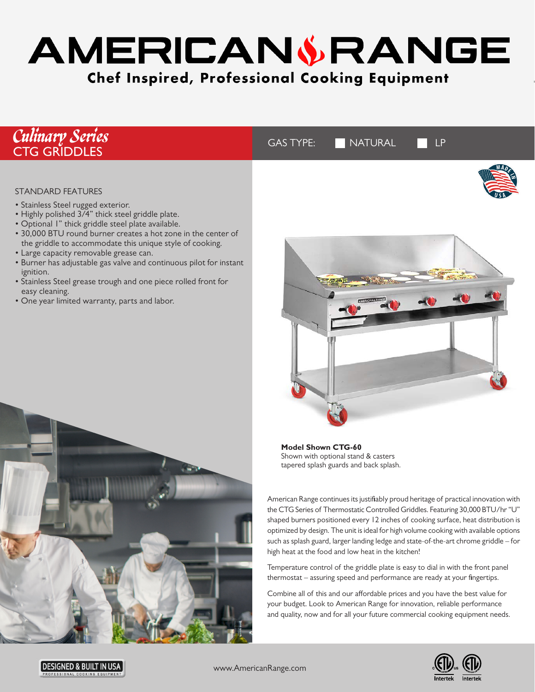# AMERICAN & RANGE **Chef Inspired, Professional Cooking Equipment**

| <b>Culinary Series</b><br>CTG GRIDDLES                                                                                                                                                                                                                                                                                                                                                                                                                                                                                                                                   | NATURAL<br><b>GAS TYPE:</b><br>LP |
|--------------------------------------------------------------------------------------------------------------------------------------------------------------------------------------------------------------------------------------------------------------------------------------------------------------------------------------------------------------------------------------------------------------------------------------------------------------------------------------------------------------------------------------------------------------------------|-----------------------------------|
| <b>STANDARD FEATURES</b><br>• Stainless Steel rugged exterior.<br>• Highly polished 3/4" thick steel griddle plate.<br>· Optional I" thick griddle steel plate available.<br>• 30,000 BTU round burner creates a hot zone in the center of<br>the griddle to accommodate this unique style of cooking.<br>• Large capacity removable grease can.<br>• Burner has adjustable gas valve and continuous pilot for instant<br>ignition.<br>• Stainless Steel grease trough and one piece rolled front for<br>easy cleaning.<br>• One year limited warranty, parts and labor. |                                   |



**Model Shown CTG-60** Shown with optional stand & casters tapered splash guards and back splash.

American Range continues its justifiably proud heritage of practical innovation with the CTG Series of Thermostatic Controlled Griddles. Featuring 30,000 BTU/hr "U" shaped burners positioned every 12 inches of cooking surface, heat distribution is optimized by design. The unit is ideal for high volume cooking with available options such as splash guard, larger landing ledge and state-of-the-art chrome griddle – for high heat at the food and low heat in the kitchen!

Temperature control of the griddle plate is easy to dial in with the front panel thermostat – assuring speed and performance are ready at your fingertips.

Combine all of this and our affordable prices and you have the best value for your budget. Look to American Range for innovation, reliable performance and quality, now and for all your future commercial cooking equipment needs.